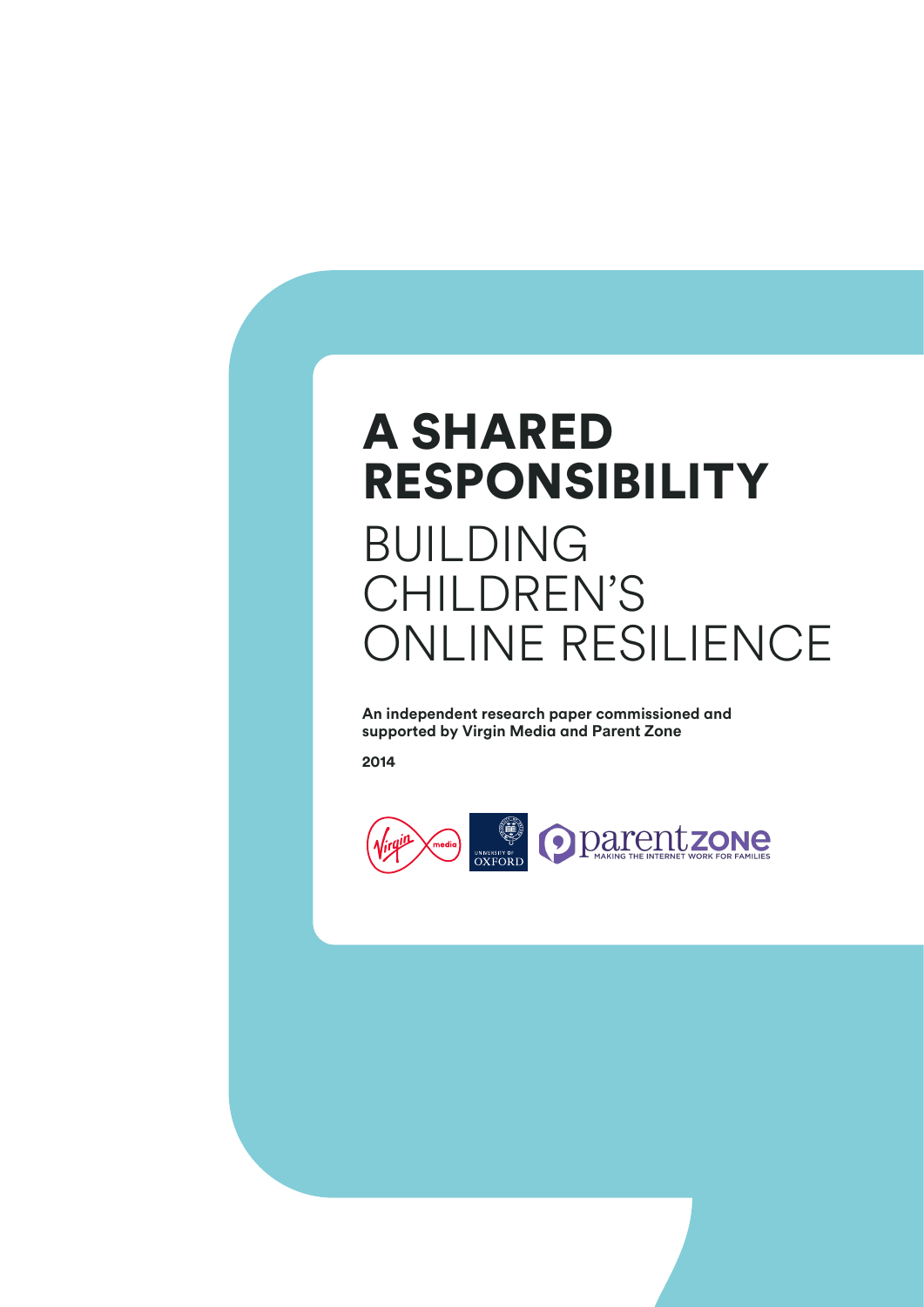# A shAred **RESPONSIBILITY**

# **BUILDING** children's online resilience

**An independent research paper commissioned and supported by Virgin Media and Parent Zone**

**2014**

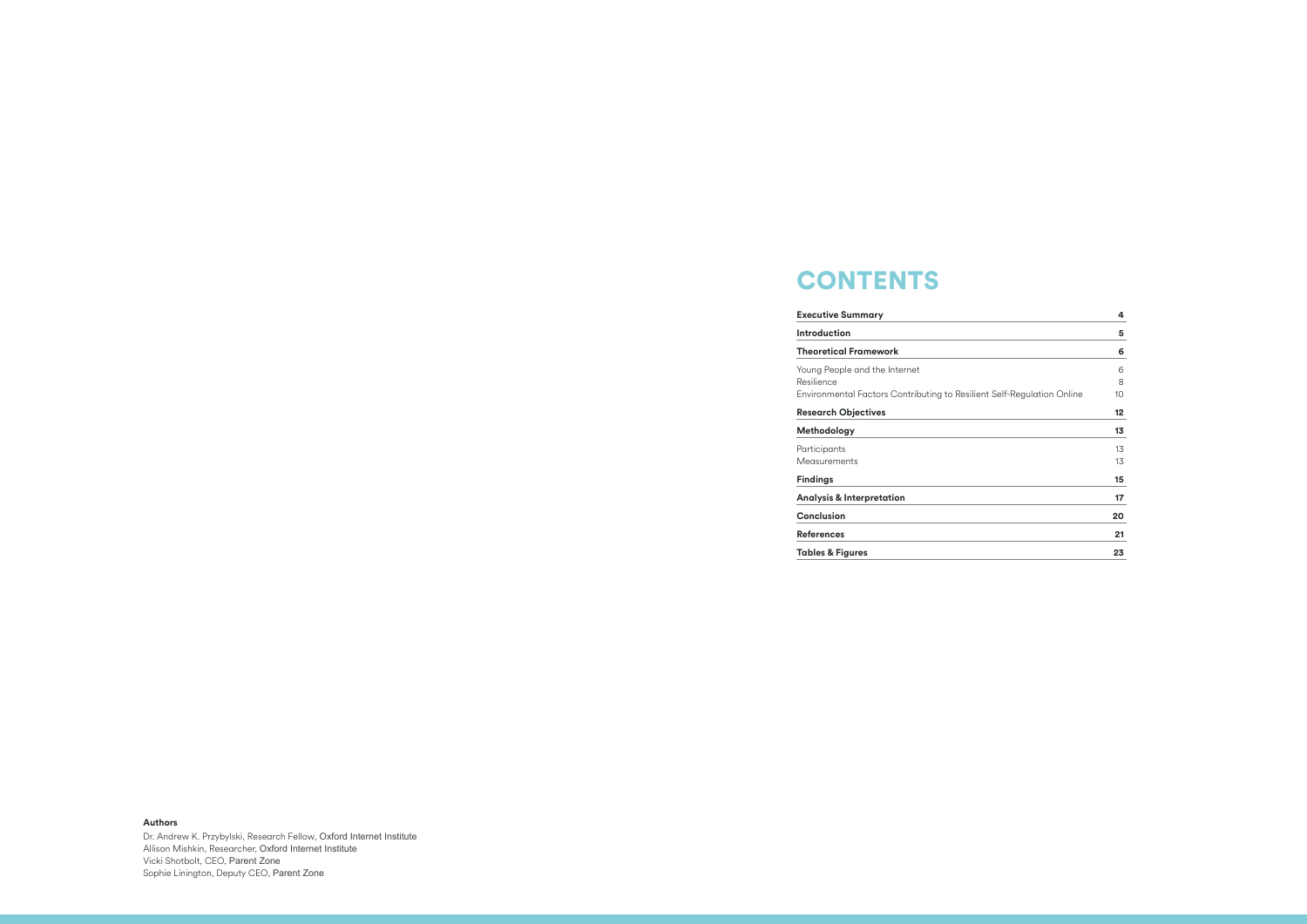# **CONTENTS**

## **Executive Summary 4**

## **Introduction 5**

## **Theoretical Framework 6**

Young People and the Internet Resilience Environmental Factors Contributing to Resilient

## **Research Objectives**

**Methodology** 

Participants Measurements

## $Findings$

**Analysis & Interpretation Conclusion 20**

**References 21**

**Tables & Figures 23**

## **Authors**

Dr. Andrew K. Przybylski, Research Fellow, Oxford Internet Institute Allison Mishkin, researcher, Oxford Internet Institute Vicki shotbolt, ceo, Parent Zone Sophie Linington, Deputy CEO, Parent Zone

|                        | 4  |
|------------------------|----|
|                        | 5  |
|                        | 6  |
|                        | 6  |
|                        | 8  |
| Self-Regulation Online | 10 |
|                        | 12 |
|                        | 13 |
|                        | 13 |
|                        | 13 |
|                        | 15 |
|                        | 17 |
|                        | 20 |
|                        | 21 |
|                        | 23 |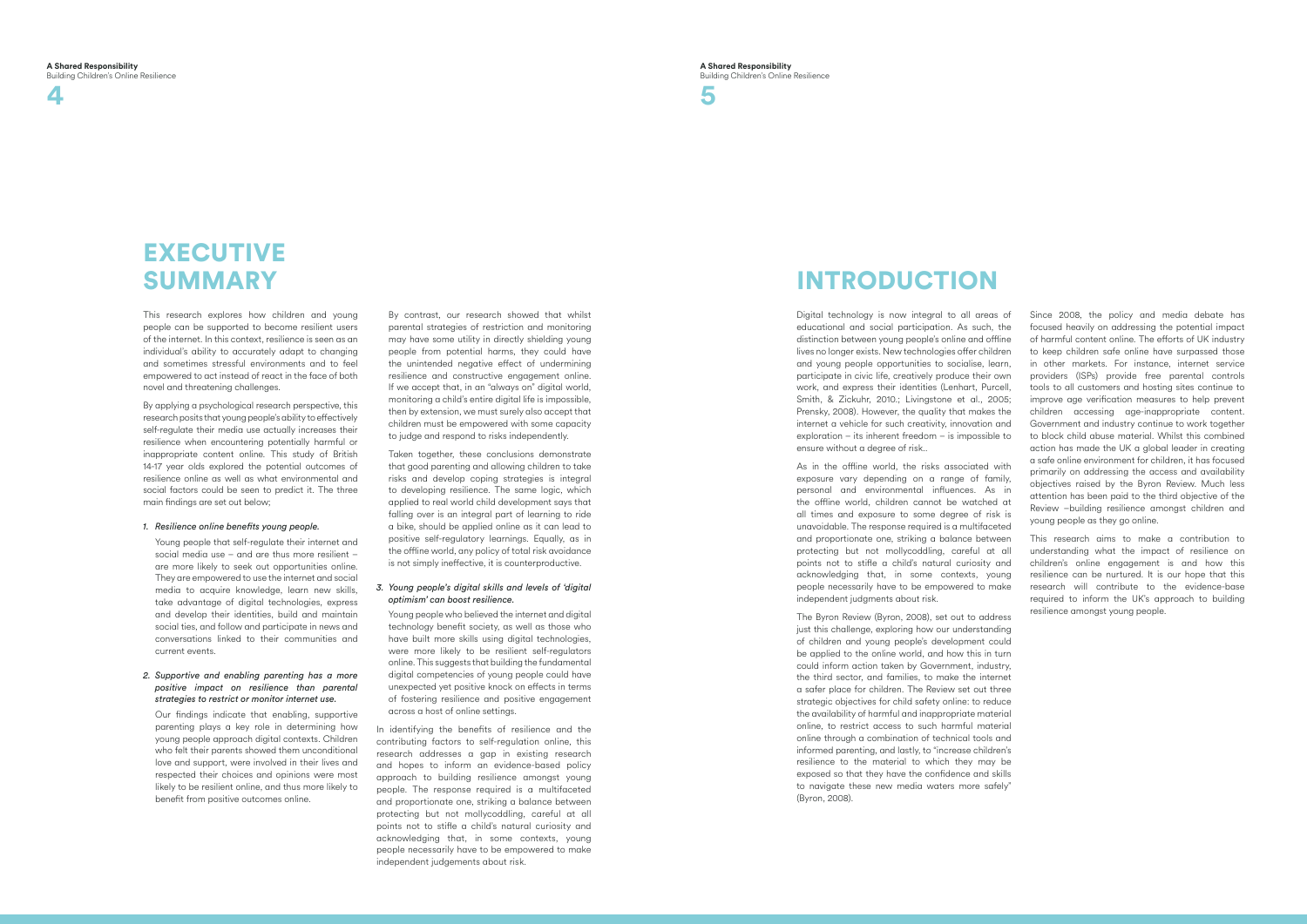

# **EXECUTIVE SUMMARY**

This research explores how children and young people can be supported to become resilient users of the internet. In this context, resilience is seen as an individual's ability to accurately adapt to changing and sometimes stressful environments and to feel empowered to act instead of react in the face of both novel and threatening challenges.

By applying a psychological research perspective, this research posits that young people's ability to effectively self-regulate their media use actually increases their resilience when encountering potentially harmful or inappropriate content online. This study of British 14-17 year olds explored the potential outcomes of resilience online as well as what environmental and social factors could be seen to predict it. The three main findings are set out below;

## *1. Resilience online benefits young people.*

Young people that self-regulate their internet and social media use – and are thus more resilient – are more likely to seek out opportunities online. They are empowered to use the internet and social media to acquire knowledge, learn new skills, take advantage of digital technologies, express and develop their identities, build and maintain social ties, and follow and participate in news and conversations linked to their communities and current events.

## *2. Supportive and enabling parenting has a more positive impact on resilience than parental strategies to restrict or monitor internet use.*

 Our findings indicate that enabling, supportive parenting plays a key role in determining how young people approach digital contexts. Children who felt their parents showed them unconditional love and support, were involved in their lives and respected their choices and opinions were most likely to be resilient online, and thus more likely to benefit from positive outcomes online.

 By contrast, our research showed that whilst parental strategies of restriction and monitoring may have some utility in directly shielding young people from potential harms, they could have the unintended negative effect of undermining resilience and constructive engagement online. If we accept that, in an "always on" digital world, monitoring a child's entire digital life is impossible, then by extension, we must surely also accept that children must be empowered with some capacity to judge and respond to risks independently.

Taken together, these conclusions demonstrate that good parenting and allowing children to take risks and develop coping strategies is integral to developing resilience. The same logic, which applied to real world child development says that falling over is an integral part of learning to ride a bike, should be applied online as it can lead to positive self-regulatory learnings. Equally, as in the offline world, any policy of total risk avoidance is not simply ineffective, it is counterproductive.

## *3. Young people's digital skills and levels of 'digital optimism' can boost resilience.*

Young people who believed the internet and digital technology benefit society, as well as those who have built more skills using digital technologies, were more likely to be resilient self-regulators online. This suggests that building the fundamental digital competencies of young people could have unexpected yet positive knock on effects in terms of fostering resilience and positive engagement across a host of online settings.

In identifying the benefits of resilience and the contributing factors to self-regulation online, this research addresses a gap in existing research and hopes to inform an evidence-based policy approach to building resilience amongst young people. The response required is a multifaceted and proportionate one, striking a balance between protecting but not mollycoddling, careful at all points not to stifle a child's natural curiosity and acknowledging that, in some contexts, young people necessarily have to be empowered to make independent judgements about risk.

# **INTRODUCTION**

Digital technology is now integral to all areas of educational and social participation. As such, the distinction between young people's online and offline lives no longer exists. New technologies offer children and young people opportunities to socialise, learn, participate in civic life, creatively produce their own work, and express their identities (Lenhart, Purcell, Smith, & Zickuhr, 2010.; Livingstone et al., 2005; Prensky, 2008). However, the quality that makes the internet a vehicle for such creativity, innovation and exploration – its inherent freedom – is impossible to ensure without a degree of risk..

As in the offline world, the risks associated with exposure vary depending on a range of family, personal and environmental influences. As in the offline world, children cannot be watched at all times and exposure to some degree of risk is unavoidable. The response required is a multifaceted and proportionate one, striking a balance between protecting but not mollycoddling, careful at all points not to stifle a child's natural curiosity and acknowledging that, in some contexts, young people necessarily have to be empowered to make independent judgments about risk.

The Byron Review (Byron, 2008), set out to address just this challenge, exploring how our understanding of children and young people's development could be applied to the online world, and how this in turn could inform action taken by Government, industry, the third sector, and families, to make the internet a safer place for children. The Review set out three strategic objectives for child safety online: to reduce the availability of harmful and inappropriate material online, to restrict access to such harmful material online through a combination of technical tools and informed parenting, and lastly, to "increase children's resilience to the material to which they may be exposed so that they have the confidence and skills to navigate these new media waters more safely" (Byron, 2008).



Since 2008, the policy and media debate has focused heavily on addressing the potential impact of harmful content online. The efforts of UK industry to keep children safe online have surpassed those in other markets. For instance, internet service providers (ISPs) provide free parental controls tools to all customers and hosting sites continue to improve age verification measures to help prevent children accessing age-inappropriate content. Government and industry continue to work together to block child abuse material. Whilst this combined action has made the UK a global leader in creating a safe online environment for children, it has focused primarily on addressing the access and availability objectives raised by the Byron Review. Much less attention has been paid to the third objective of the Review –building resilience amongst children and young people as they go online.

This research aims to make a contribution to understanding what the impact of resilience on children's online engagement is and how this resilience can be nurtured. It is our hope that this research will contribute to the evidence-base required to inform the UK's approach to building resilience amongst young people.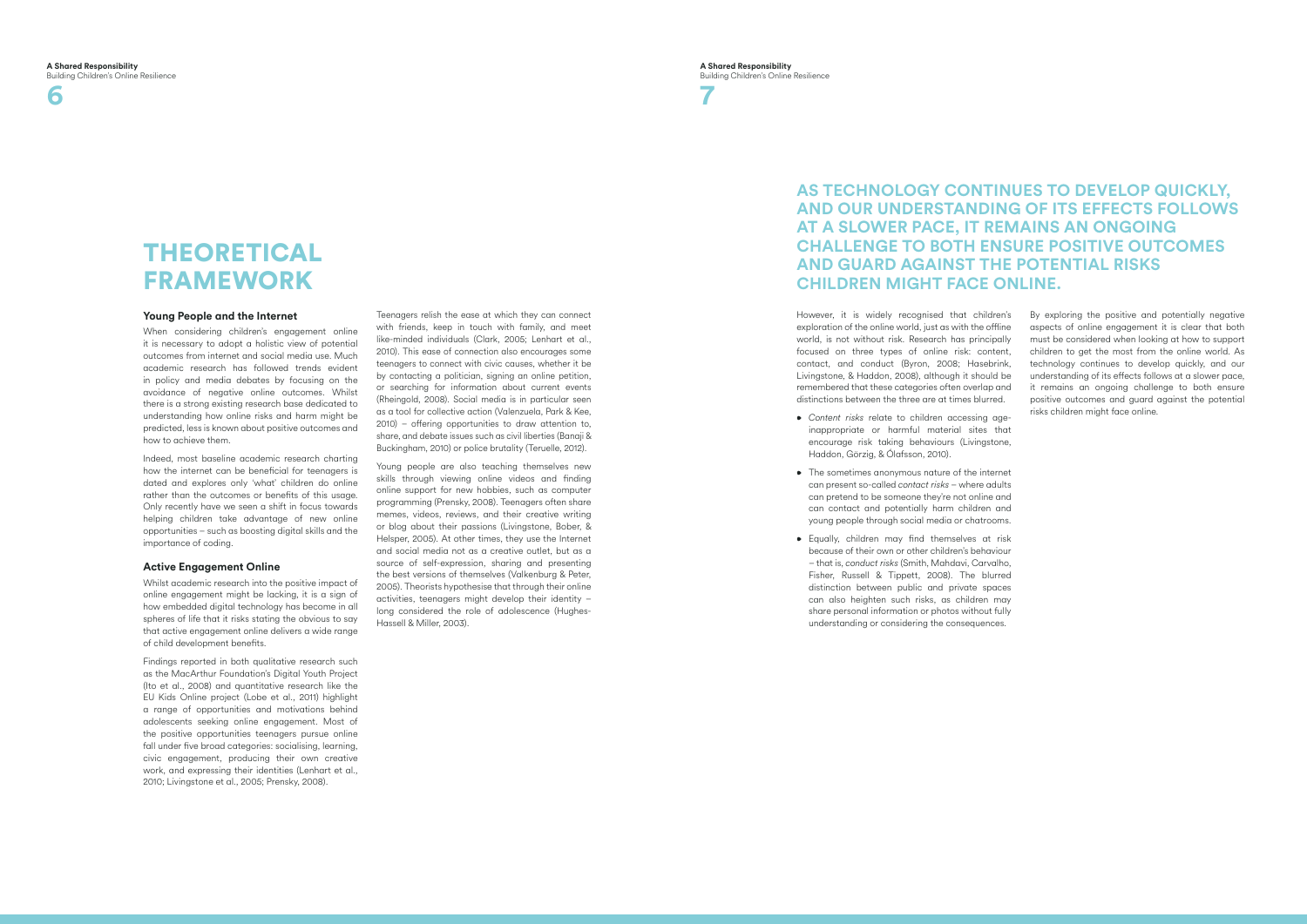## **A s techn o l ogy co ntinues to deve lop quickly, AND OUR UNDERSTANDING OF ITS EFFECTS FOLLOWS at a s l o wer pace , it remai n s an ongoing CHALLENGE TO BOTH ENSURE POSITIVE OUT( AND GUARD AGAINST THE POTENTIAL RISKS CHILDREN MIGHT FACE ONLINE.**

**6**

**7**

# **THEORETICAL FRAMEWORK**

H owever, it is widely recognised that children's exploration of the online world, just as with the offline world, is not without risk. Research has principally focused on three types of online risk: content, contact, and conduct ( Byron, 2008; Hasebrink, Livingstone, & Haddon, 2008), although it should be remembered that these categories often overlap and distinctions between the three are at times blurred.

- *Content risks* relate to children accessing ageinappropriate or harmful material sites that encourage risk taking behaviours ( Livingstone, Haddon, Görzig, & Ólafsson, 2010).
- The sometimes anonymous nature of the internet can present so-called *contact risks* – where adults can pretend to be someone they're not online and can contact and potentially harm children and young people through social media or chatrooms.
- Equally, children may find themselves at risk because of their own or other children's behaviour – that is, *conduct risks* ( Smith, Mahdavi, Carvalho, Fisher, Russell & Tippett, 2008). The blurred distinction between public and private spaces can also heighten such risks, as children may share personal information or photos without fully understanding or considering the consequences.

By exploring the positive and potentially negative aspects of online engagement it is clear that both must be considered when looking at how to support children to get the most from the online world. As technology continues to develop quickly, and our understanding of its effects follows at a slower pace, it remains an ongoing challenge to both ensure positive outcomes and guard against the potential risks children might face online.

## **Young People and the Internet**

When considering children's engagement online it is necessary to adopt a holistic view of potential outcomes from internet and social media use. Much academic research has followed trends evident in policy and media debates by focusing on the avoidance of negative online outcomes. Whilst there is a strong existing research base dedicated to understanding how online risks and harm might be predicted, less is known about positive outcomes and how to achieve them. Indeed, most baseline academic research charting

how the internet can be beneficial for teenagers is dated and explores only 'what' children do online rather than the outcomes or benefits of this usage. Only recently have we seen a shift in focus towards helping children take advantage of new online opportunities – such as boosting digital skills and the importance of coding.

## **Active Engagement Online**

Whilst academic research into the positive impact of online engagement might be lacking, it is a sign of how embedded digital technology has become in all spheres of life that it risks stating the obvious to say that active engagement online delivers a wide range of child development benefits.

Findings reported in both qualitative research such as the MacArthur Foundation's Digital Youth Project (Ito et al., 2008) and quantitative research like the EU Kids Online project (Lobe et al., 2011) highlight a range of opportunities and motivations behind adolescents seeking online engagement. Most of the positive opportunities teenagers pursue online fall under five broad categories: socialising, learning, civic engagement, producing their own creative work, and expressing their identities ( Lenhart et al., 2010; Livingstone et al., 2005; Prensky, 2008).

Teenagers relish the ease at which they can connect with friends, keep in touch with family, and meet like-minded individuals ( Clark, 2005; Lenhart et al., 2010). This ease of connection also encourages some teenagers to connect with civic causes, whether it be by contacting a politician, signing an online petition, or searching for information about current events (Rheingold, 2008). Social media is in particular seen as a tool for collective action (Valenzuela, Park & Kee, 2010) – offering opportunities to draw attention to, share, and debate issues such as civil liberties ( Banaji & Buckingham, 2010) or police brutality (Teruelle, 2012).

Young people are also teaching themselves new skills through viewing online videos and finding online support for new hobbies, such as computer programming (Prensky, 2008). Teenagers often share memes, videos, reviews, and their creative writing or blog about their passions ( Livingstone, Bober, & Helsper, 2005). At other times, they use the Internet and social media not as a creative outlet, but as a source of self-expression, sharing and presenting the best versions of themselves (Valkenburg & Peter, 2005). Theorists hypothesise that through their online activities, teenagers might develop their identity – long considered the role of adolescence ( Hughes-Hassell & Miller, 2003).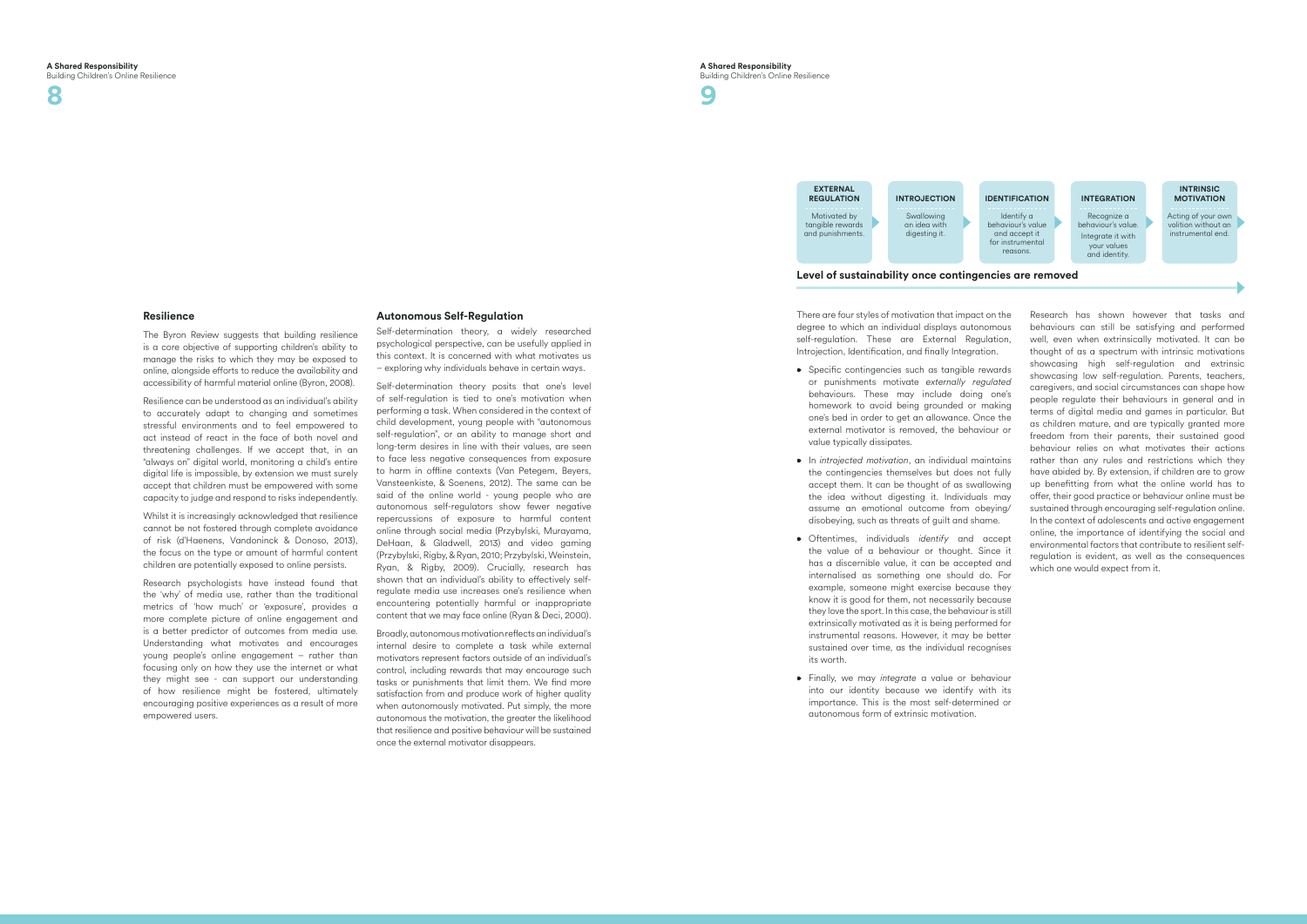There are four styles of motivation that impact on the degree to which an individual displays autonomous self-regulation. These are External Regulation, Introjection, Identification, and finally Integration.

**8**



- Specific contingencies such as tangible rewards or punishments motivate *externally regulated* behaviours. These may include doing one's homework to avoid being grounded or making one's bed in order to get an allowance. Once the external motivator is removed, the behaviour or value typically dissipates.
- In *introjected motivation*, an individual maintains the contingencies themselves but does not fully accept them. It can be thought of as swallowing the idea without digesting it. Individuals may assume an emotional outcome from obeying/ disobeying, such as threats of guilt and shame.
- Oftentimes, individuals *identify* and accept the value of a behaviour or thought. Since it has a discernible value, it can be accepted and internalised as something one should do. For example, someone might exercise because they know it is good for them, not necessarily because they love the sport. In this case, the behaviour is still extrinsically motivated as it is being performed for instrumental reasons. H owever, it may be better sustained over time, as the individual recognises its worth.
- Finally, w e may *integrate* a value or behaviour into our identity because we identify with its importance. This is the most self-determined or autonomous form of extrinsic motivation.

The Byron Review suggests that building resilience is a core objective of supporting children's ability to manage the risks to which they may be exposed to online, alongside efforts to reduce the availability and accessibility of harmful material online ( Byron, 2008).

Research has shown however that tasks and behaviours can still be satisfying and performed well, even when extrinsically motivated. It can be thought of as a spectrum with intrinsic motivations showcasing high self-regulation and extrinsic showcasing low self-regulation. Parents, teachers, caregivers, and social circumstances can shape how people regulate their behaviours in general and in terms of digital media and games in particular. B ut as children mature, and are typically granted more freedom from their parents, their sustained good behaviour relies on what motivates their actions rather than any rules and restrictions which they have abided by. By extension, if children are to grow up benefitting from what the online world has to offer, their good practice or behaviour online must be sustained through encouraging self-regulation online. In the context of adolescents and active engagement online, the importance of identifying the social and environmental factors that contribute to resilient selfregulation is evident, as well as the consequences which one would expect from it.

## **Resilience**

## EXTERNAL<br>
REGULATION INTROJECTION IDENTIFICATION<br>
Motivated by Swallowing<br>
tangible rewards an idea with dentity a<br>
and punishments.<br> **Level of sustainability once contingencies are removed REGULATION** Motivated by tangible rewards and punishments. **I NTROJECTIO N Swallowing** an idea with digesting it.

### **intrins motivatio n**

Resilience can be understood as an individual's ability to accurately adapt to changing and sometimes stressful environments and to feel empowered to act instead of react in the face of both novel and threatening challenges. If we accept that, in an "always on" digital world, monitoring a child's entire digital life is impossible, by extension we must surely accept that children must be empowered with some capacity to judge and respond to risks independently.

Whilst it is increasingly acknowledged that resilience cannot be not fostered through complete avoidance of risk (d' Haenens, Vandoninck & Donoso, 2013), the focus on the type or amount of harmful content children are potentially exposed to online persists.

Research psychologists have instead found that the 'why' of media use, rather than the traditional metrics of 'how much' or 'exposure', provides a more complete picture of online engagement and is a better predictor of outcomes from media use. Understanding what motivates and encourages young people's online engagement – rather than focusing only on how they use the internet or what they might see - can support our understanding of how resilience might be fostered, ultimately encouraging positive experiences as a result of more empowered users.

## **Autonomous Self-Regulation**

Self-determination theory, a widely researched psychological perspective, can be usefully applied in this context. It is concerned with what motivates us – exploring why individuals behave in certain ways.

Self-determination theory posits that one's level of self-regulation is tied to one's motivation when performing a task. When considered in the context of child development, young people with "autonomous self-regulation", or an ability to manage short and long-term desires in line with their values, are seen to face less negative consequences from exposure to harm in offline contexts (Van Petegem, Beyers, Vansteenkiste, & Soenens, 2012). The same can be said of the online world - young people who are autonomous self-regulators show fewer negative repercussions of exposure to harmful content online through social media (Przybylski, Murayama, DeHaan, & Gladwell, 2013) and video gaming (Przybylski, Rigby, & R yan, 2010; Przybylski, Weinstein, R yan, & Rigby, 2009). Crucially, research has shown that an individual's ability to effectively selfregulate media use increases one's resilience when encountering potentially harmful or inappropriate content that we may face online ( R yan & Deci, 2000).

B roadly, autonomous motivation reflects an individual's internal desire to complete a task while external motivators represent factors outside of an individual's control, including rewards that may encourage such tasks or punishments that limit them. We find more satisfaction from and produce work of higher quality when autonomously motivated. Put simply, the more autonomous the motivation, the greater the likelihood that resilience and positive behaviour will be sustained once the external motivator disappears.

### **IDENTIFICATION**

Identify a behaviour's value and accept it for instrumental reasons.

### **INTEGRATION**

Recognize a behaviour's value. Integrate it with your values and identity.

Acting of your own volition without an instrumental end.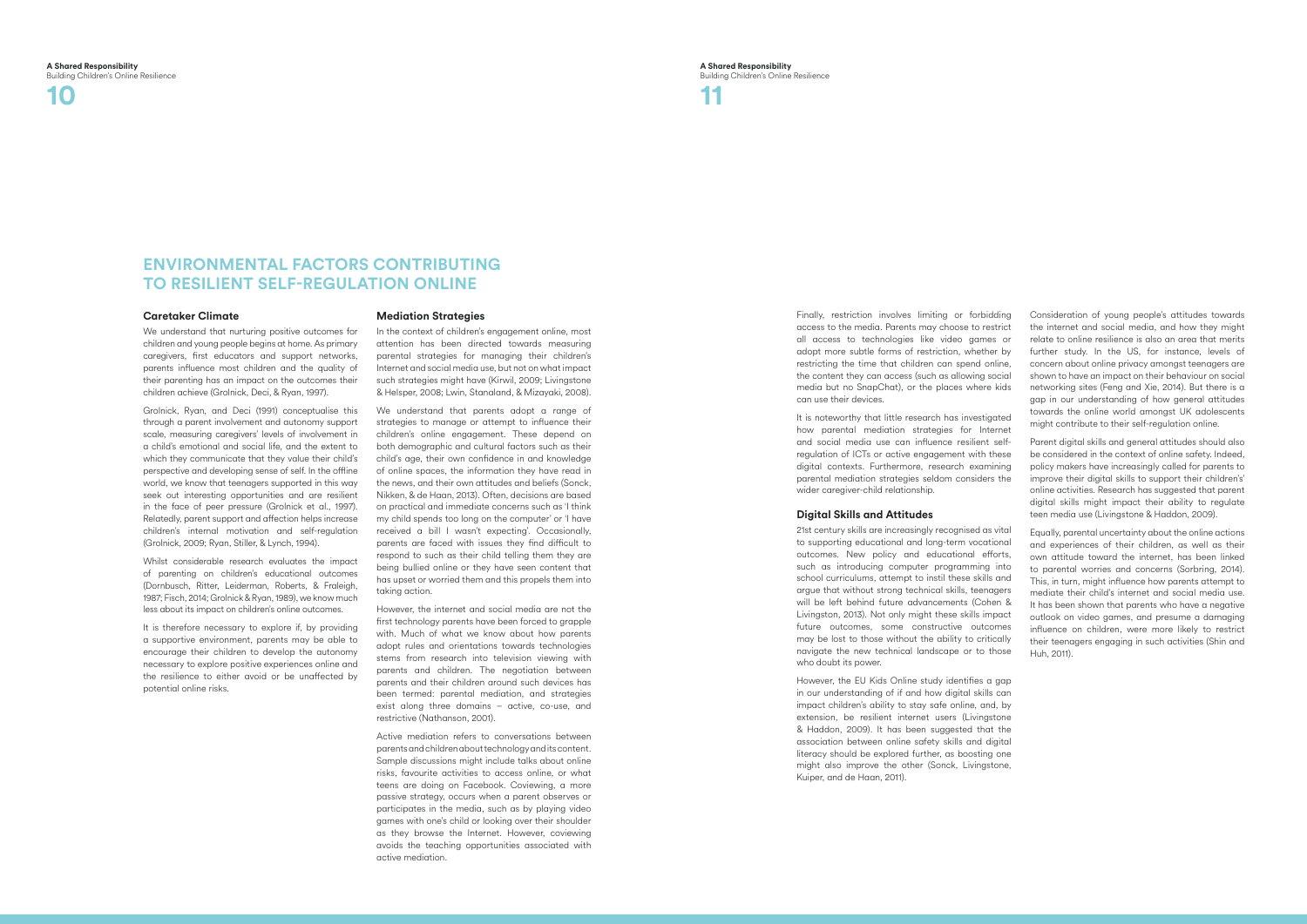### **A Shared Responsibility** Building Children's Online Resilience

**10 11**

## **Environmental factors contributing to resilient self-regulation online**

Finally, restriction involves limiting or forbidding access to the media. Parents may choose to restrict all access to technologies like video games or adopt more subtle forms of restriction, whether by restricting the time that children can spend online, the content they can access (such as allowing social media but no SnapChat), or the places where kids can use their devices.

It is noteworthy that little research has investigated how parental mediation strategies for Internet and social media use can influence resilient selfregulation of ICTs or active engagement with these digital contexts. Furthermore, research examining parental mediation strategies seldom considers the wider caregiver-child relationship.

## **Digital Skills and Attitudes**

21st century skills are increasingly recognised as vital to supporting educational and long-term vocational outcomes. New policy and educational efforts, such as introducing computer programming into school curriculums, attempt to instil these skills and argue that without strong technical skills, teenagers will be left behind future advancements (Cohen & Livingston, 2013). Not only might these skills impact future outcomes, some constructive outcomes may be lost to those without the ability to critically navigate the new technical landscape or to those who doubt its power.

However, the EU Kids Online study identifies a gap in our understanding of if and how digital skills can impact children's ability to stay safe online, and, by extension, be resilient internet users (Livingstone & Haddon, 2009). It has been suggested that the association between online safety skills and digital literacy should be explored further, as boosting one might also improve the other (Sonck, Livingstone, Kuiper, and de Haan, 2011).

Consideration of young people's attitudes towards the internet and social media, and how they might relate to online resilience is also an area that merits further study. In the US, for instance, levels of concern about online privacy amongst teenagers are shown to have an impact on their behaviour on social networking sites (Feng and Xie, 2014). But there is a gap in our understanding of how general attitudes towards the online world amongst UK adolescents might contribute to their self-regulation online.

It is therefore necessary to explore if, by providing a supportive environment, parents may be able to encourage their children to develop the autonomy necessary to explore positive experiences online and the resilience to either avoid or be unaffected by potential online risks.

Parent digital skills and general attitudes should also be considered in the context of online safety. Indeed, policy makers have increasingly called for parents to improve their digital skills to support their children's' online activities. Research has suggested that parent digital skills might impact their ability to regulate teen media use (Livingstone & Haddon, 2009).

We understand that parents adopt a range of strategies to manage or attempt to influence their children's online engagement. These depend on both demographic and cultural factors such as their child's age, their own confidence in and knowledge of online spaces, the information they have read in the news, and their own attitudes and beliefs (Sonck, Nikken, & de Haan, 2013). Often, decisions are based on practical and immediate concerns such as 'I think my child spends too long on the computer' or 'I have received a bill I wasn't expecting'. Occasionally, parents are faced with issues they find difficult to respond to such as their child telling them they are being bullied online or they have seen content that has upset or worried them and this propels them into taking action.

Equally, parental uncertainty about the online actions and experiences of their children, as well as their own attitude toward the internet, has been linked to parental worries and concerns (Sorbring, 2014). This, in turn, might influence how parents attempt to mediate their child's internet and social media use. It has been shown that parents who have a negative outlook on video games, and presume a damaging influence on children, were more likely to restrict their teenagers engaging in such activities (Shin and Huh, 2011).

## **Caretaker Climate**

We understand that nurturing positive outcomes for children and young people begins at home. As primary caregivers, first educators and support networks, parents influence most children and the quality of their parenting has an impact on the outcomes their children achieve (Grolnick, Deci, & Ryan, 1997).

Grolnick, Ryan, and Deci (1991) conceptualise this through a parent involvement and autonomy support scale, measuring caregivers' levels of involvement in a child's emotional and social life, and the extent to which they communicate that they value their child's perspective and developing sense of self. In the offline world, we know that teenagers supported in this way seek out interesting opportunities and are resilient in the face of peer pressure (Grolnick et al., 1997). Relatedly, parent support and affection helps increase children's internal motivation and self-regulation (Grolnick, 2009; Ryan, Stiller, & Lynch, 1994).

Whilst considerable research evaluates the impact of parenting on children's educational outcomes (Dornbusch, Ritter, Leiderman, Roberts, & Fraleigh, 1987; Fisch, 2014; Grolnick & Ryan, 1989), we know much less about its impact on children's online outcomes.

## **Mediation Strategies**

In the context of children's engagement online, most attention has been directed towards measuring parental strategies for managing their children's Internet and social media use, but not on what impact such strategies might have (Kirwil, 2009; Livingstone & Helsper, 2008; Lwin, Stanaland, & Mizayaki, 2008).

However, the internet and social media are not the first technology parents have been forced to grapple with. Much of what we know about how parents adopt rules and orientations towards technologies stems from research into television viewing with parents and children. The negotiation between parents and their children around such devices has been termed: parental mediation, and strategies exist along three domains – active, co-use, and restrictive (Nathanson, 2001).

Active mediation refers to conversations between parents and children about technology and its content. Sample discussions might include talks about online risks, favourite activities to access online, or what teens are doing on Facebook. Coviewing, a more passive strategy, occurs when a parent observes or participates in the media, such as by playing video games with one's child or looking over their shoulder as they browse the Internet. However, coviewing avoids the teaching opportunities associated with active mediation.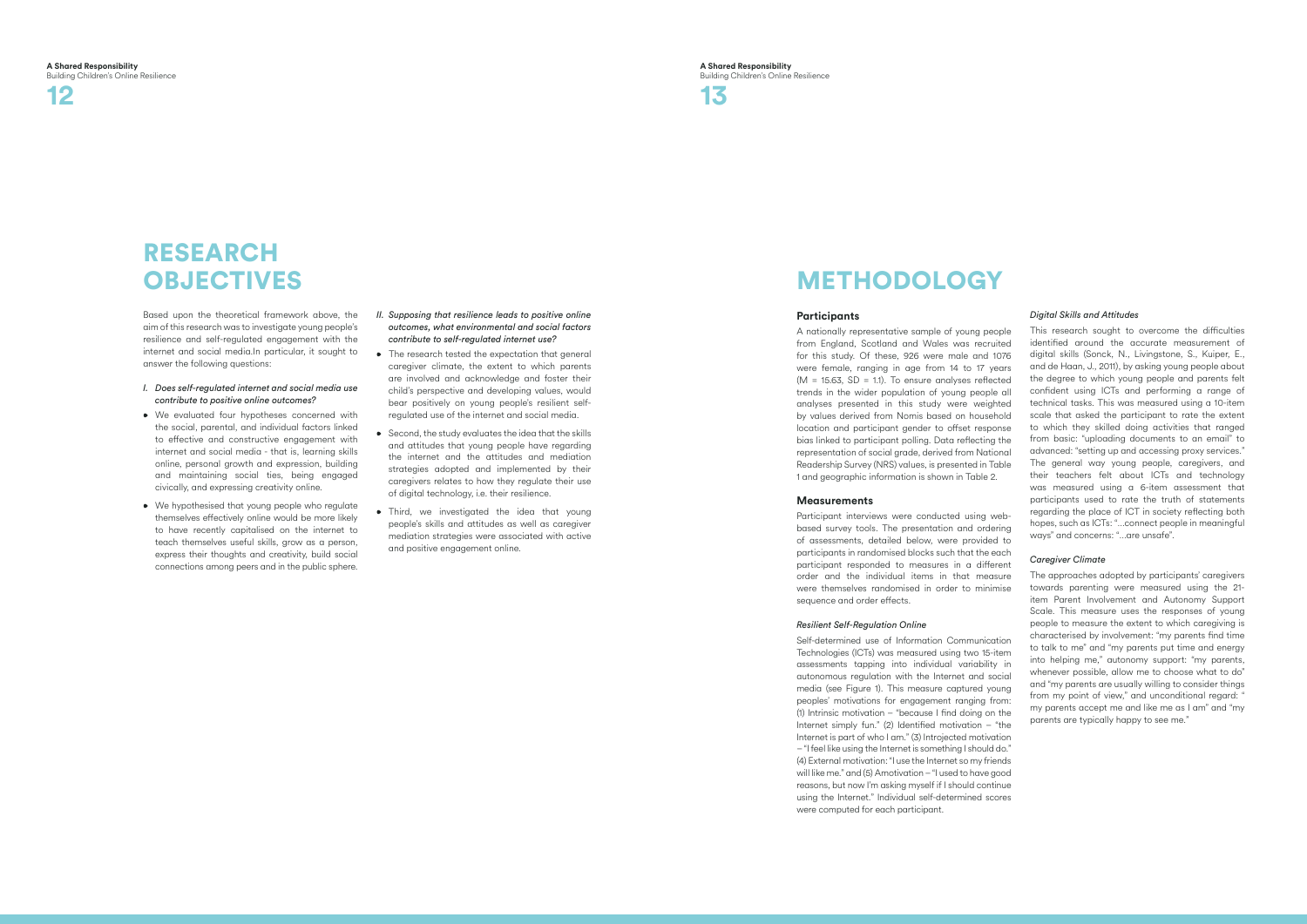

# **RESEARCH OBJECTIVES**

Based upon the theoretical framework above, the aim of this research was to investigate young people's resilience and self-regulated engagement with the internet and social media.In particular, it sought to answer the following questions:

- *I. Does self-regulated internet and social media use contribute to positive online outcomes?*
- We evaluated four hypotheses concerned with the social, parental, and individual factors linked to effective and constructive engagement with internet and social media - that is, learning skills online, personal growth and expression, building and maintaining social ties, being engaged civically, and expressing creativity online.
- We hypothesised that young people who regulate themselves effectively online would be more likely to have recently capitalised on the internet to teach themselves useful skills, grow as a person, express their thoughts and creativity, build social connections among peers and in the public sphere.
- *II. Supposing that resilience leads to positive online outcomes, what environmental and social factors contribute to self-regulated internet use?*
- The research tested the expectation that general caregiver climate, the extent to which parents are involved and acknowledge and foster their child's perspective and developing values, would bear positively on young people's resilient selfregulated use of the internet and social media.
- Second, the study evaluates the idea that the skills and attitudes that young people have regarding the internet and the attitudes and mediation strategies adopted and implemented by their caregivers relates to how they regulate their use of digital technology, i.e. their resilience.
- Third, we investigated the idea that young people's skills and attitudes as well as caregiver mediation strategies were associated with active and positive engagement online.

# **METHODOLOGY**

## **Participants**

A nationally representative sample of young people from England, Scotland and Wales was recruited for this study. Of these, 926 were male and 1076 were female, ranging in age from 14 to 17 years  $(M = 15.63, SD = 1.1)$ . To ensure analyses reflected trends in the wider population of young people all analyses presented in this study were weighted by values derived from Nomis based on household location and participant gender to offset response bias linked to participant polling. Data reflecting the representation of social grade, derived from National Readership Survey (NRS) values, is presented in Table 1 and geographic information is shown in Table 2.

## **Measurements**

Participant interviews were conducted using webbased survey tools. The presentation and ordering of assessments, detailed below, were provided to participants in randomised blocks such that the each participant responded to measures in a different order and the individual items in that measure were themselves randomised in order to minimise sequence and order effects.

## *Resilient Self-Regulation Online*

Self-determined use of Information Communication Technologies (ICTs) was measured using two 15-item assessments tapping into individual variability in autonomous regulation with the Internet and social media (see Figure 1). This measure captured young peoples' motivations for engagement ranging from: (1) Intrinsic motivation – "because I find doing on the Internet simply fun." (2) Identified motivation – "the Internet is part of who I am." (3) Introjected motivation – "I feel like using the Internet is something I should do." (4) External motivation: "I use the Internet so my friends will like me." and (5) Amotivation – "I used to have good reasons, but now I'm asking myself if I should continue using the Internet." Individual self-determined scores were computed for each participant.



## *Digital Skills and Attitudes*

This research sought to overcome the difficulties identified around the accurate measurement of digital skills (Sonck, N., Livingstone, S., Kuiper, E., and de Haan, J., 2011), by asking young people about the degree to which young people and parents felt confident using ICTs and performing a range of technical tasks. This was measured using a 10-item scale that asked the participant to rate the extent to which they skilled doing activities that ranged from basic: "uploading documents to an email" to advanced: "setting up and accessing proxy services." The general way young people, caregivers, and their teachers felt about ICTs and technology was measured using a 6-item assessment that participants used to rate the truth of statements regarding the place of ICT in society reflecting both hopes, such as ICTs: "…connect people in meaningful ways" and concerns: "…are unsafe".

## *Caregiver Climate*

The approaches adopted by participants' caregivers towards parenting were measured using the 21 item Parent Involvement and Autonomy Support Scale. This measure uses the responses of young people to measure the extent to which caregiving is characterised by involvement: "my parents find time to talk to me" and "my parents put time and energy into helping me," autonomy support: "my parents, whenever possible, allow me to choose what to do" and "my parents are usually willing to consider things from my point of view," and unconditional regard: " my parents accept me and like me as I am" and "my parents are typically happy to see me."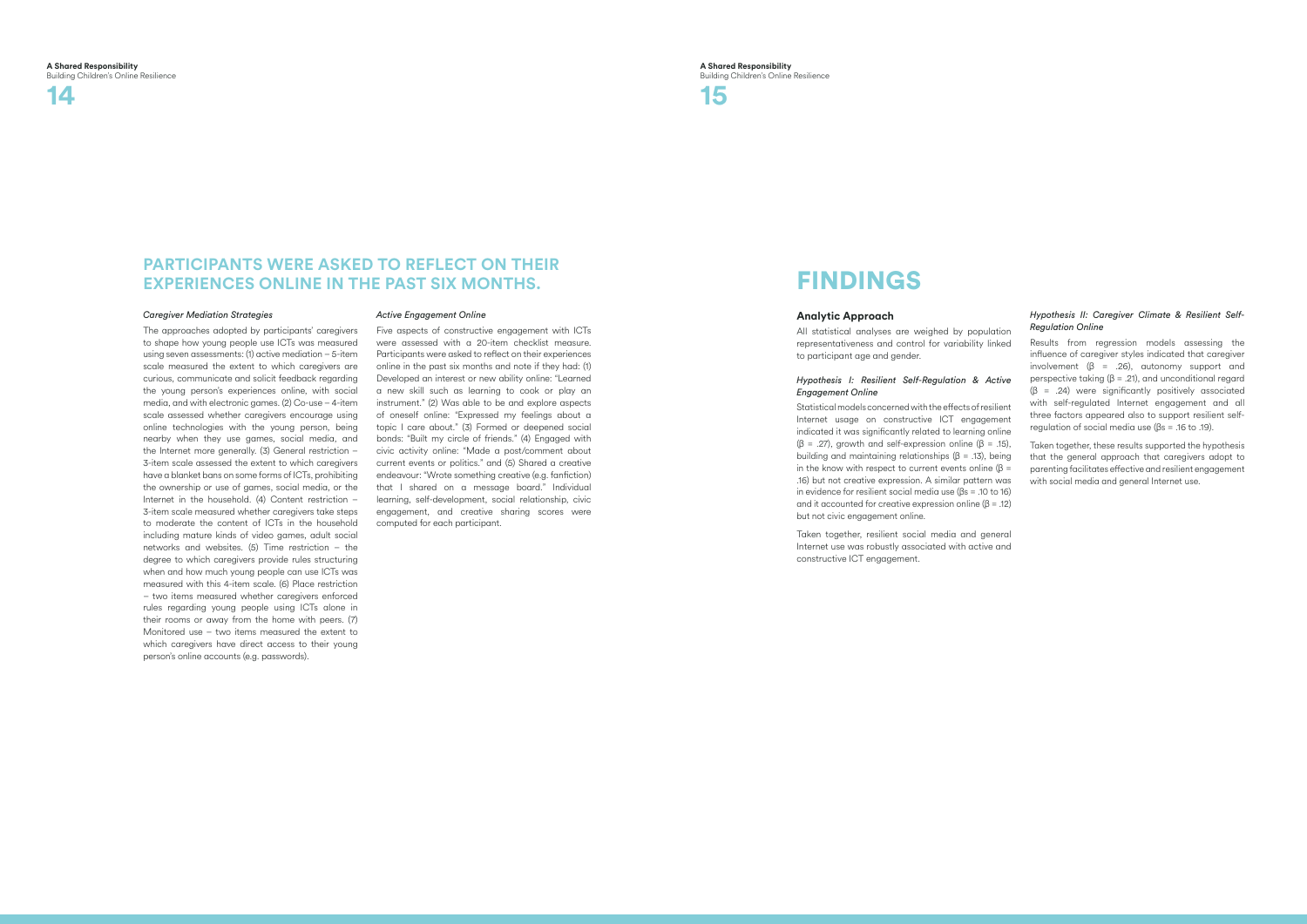**A Shared Responsibility** Building Children's Online Resilience

## **PARTICIPANTS WERE ASKED TO REFLECT ON THEIR experiences online in the past six months.**



## *Caregiver Mediation Strategies*

The approaches adopted by participants' caregivers to shape how young people use ICTs was measured using seven assessments: (1) active mediation – 5-item scale measured the extent to which caregivers are curious, communicate and solicit feedback regarding the young person's experiences online, with social media, and with electronic games. (2) Co-use – 4-item scale assessed whether caregivers encourage using online technologies with the young person, being nearby when they use games, social media, and the Internet more generally. (3) General restriction – 3-item scale assessed the extent to which caregivers have a blanket bans on some forms of ICTs, prohibiting the ownership or use of games, social media, or the Internet in the household. (4) Content restriction – 3-item scale measured whether caregivers take steps to moderate the content of ICTs in the household including mature kinds of video games, adult social networks and websites. (5) Time restriction – the degree to which caregivers provide rules structuring when and how much young people can use ICTs was measured with this 4-item scale. (6) Place restriction – two items measured whether caregivers enforced rules regarding young people using ICTs alone in their rooms or away from the home with peers. (7) Monitored use – two items measured the extent to which caregivers have direct access to their young person's online accounts (e.g. passwords).

## *Active Engagement Online*

Five aspects of constructive engagement with ICTs were assessed with a 20-item checklist measure. Participants were asked to reflect on their experiences online in the past six months and note if they had: (1) Developed an interest or new ability online: "Learned a new skill such as learning to cook or play an instrument." (2) Was able to be and explore aspects of oneself online: "Expressed my feelings about a topic I care about." (3) Formed or deepened social bonds: "Built my circle of friends." (4) Engaged with civic activity online: "Made a post/comment about current events or politics." and (5) Shared a creative endeavour: "Wrote something creative (e.g. fanfiction) that I shared on a message board." Individual learning, self-development, social relationship, civic engagement, and creative sharing scores were computed for each participant.

# **FINDINGS**

## **Analytic Approach**

All statistical analyses are weighed by population representativeness and control for variability linked to participant age and gender.

## *Hypothesis I: Resilient Self-Regulation & Active Engagement Online*

Statistical models concerned with the effects of resilient Internet usage on constructive ICT engagement indicated it was significantly related to learning online  $(β = .27)$ , growth and self-expression online  $(β = .15)$ . building and maintaining relationships (β = .13), being in the know with respect to current events online ( $\beta$  = .16) but not creative expression. A similar pattern was in evidence for resilient social media use (βs = .10 to 16) and it accounted for creative expression online  $(\beta = .12)$ but not civic engagement online.

Taken together, resilient social media and general Internet use was robustly associated with active and constructive ICT engagement.

## *Hypothesis II: Caregiver Climate & Resilient Self-Regulation Online*

Results from regression models assessing the influence of caregiver styles indicated that caregiver involvement ( $\beta$  = .26), autonomy support and perspective taking (β = .21), and unconditional regard  $(\beta$  = .24) were significantly positively associated with self-regulated Internet engagement and all three factors appeared also to support resilient selfregulation of social media use (βs = .16 to .19).

Taken together, these results supported the hypothesis that the general approach that caregivers adopt to parenting facilitates effective and resilient engagement with social media and general Internet use.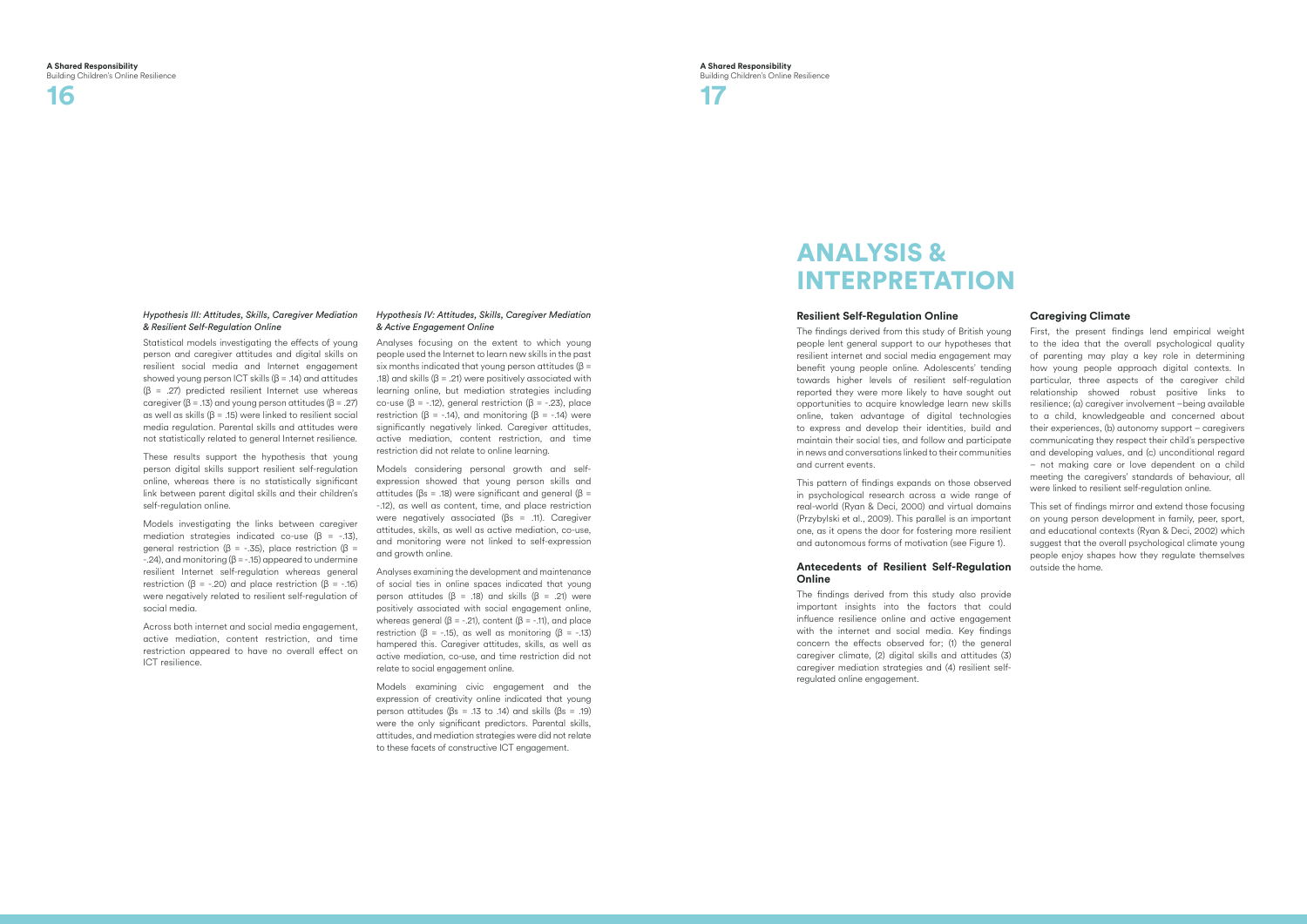

## *Hypothesis III: Attitudes, Skills, Caregiver Mediation & Resilient Self-Regulation Online*

Statistical models investigating the effects of young person and caregiver attitudes and digital skills on resilient social media and Internet engagement showed young person ICT skills ( $\beta$  = .14) and attitudes  $(\beta = .27)$  predicted resilient Internet use whereas caregiver ( $\beta$  = .13) and young person attitudes ( $\beta$  = .27) as well as skills (β = .15) were linked to resilient social media regulation. Parental skills and attitudes were not statistically related to general Internet resilience.

These results support the hypothesis that young person digital skills support resilient self-regulation online, whereas there is no statistically significant link between parent digital skills and their children's self-regulation online.

Models investigating the links between caregiver mediation strategies indicated co-use (β = -.13), qeneral restriction ( $β = -0.35$ ), place restriction ( $β =$  $-24$ ), and monitoring ( $\beta = -15$ ) appeared to undermine resilient Internet self-regulation whereas general restriction ( $\beta$  = -.20) and place restriction ( $\beta$  = -.16) were negatively related to resilient self-regulation of social media.

Across both internet and social media engagement, active mediation, content restriction, and time restriction appeared to have no overall effect on ICT resilience.

## *Hypothesis IV: Attitudes, Skills, Caregiver Mediation & Active Engagement Online*

# Analysis & **INTERPRETATION**

Analyses focusing on the extent to which young people used the Internet to learn new skills in the past six months indicated that young person attitudes ( $\beta$  = .18) and skills (β = .21) were positively associated with learning online, but mediation strategies including co-use (β = -.12), general restriction (β = -.23), place restriction (β = -.14), and monitoring (β = -.14) were significantly negatively linked. Caregiver attitudes, active mediation, content restriction, and time restriction did not relate to online learning.

Models considering personal growth and selfexpression showed that young person skills and attitudes ( $βs = .18$ ) were significant and general ( $β =$ -.12), as well as content, time, and place restriction were negatively associated (βs = .11). Caregiver attitudes, skills, as well as active mediation, co-use, and monitoring were not linked to self-expression and growth online.

Analyses examining the development and maintenance of social ties in online spaces indicated that young person attitudes (β = .18) and skills (β = .21) were positively associated with social engagement online, whereas general ( $\beta$  = -.21), content ( $\beta$  = -.11), and place restriction ( $\beta$  = -.15), as well as monitoring ( $\beta$  = -.13) hampered this. Caregiver attitudes, skills, as well as active mediation, co-use, and time restriction did not relate to social engagement online.

Models examining civic engagement and the expression of creativity online indicated that young person attitudes (βs = .13 to .14) and skills (βs = .19) were the only significant predictors. Parental skills, attitudes, and mediation strategies were did not relate to these facets of constructive ICT engagement.

## **Resilient Self-Regulation Online**

The findings derived from this study of British young people lent general support to our hypotheses that resilient internet and social media engagement may benefit young people online. Adolescents' tending towards higher levels of resilient self-regulation reported they were more likely to have sought out opportunities to acquire knowledge learn new skills online, taken advantage of digital technologies to express and develop their identities, build and maintain their social ties, and follow and participate in news and conversations linked to their communities and current events.

This pattern of findings expands on those observed in psychological research across a wide range of real-world (Ryan & Deci, 2000) and virtual domains (Przybylski et al., 2009). This parallel is an important one, as it opens the door for fostering more resilient and autonomous forms of motivation (see Figure 1).

## **Antecedents of Resilient Self-Regulation Online**

The findings derived from this study also provide important insights into the factors that could influence resilience online and active engagement with the internet and social media. Key findings concern the effects observed for; (1) the general caregiver climate, (2) digital skills and attitudes (3) caregiver mediation strategies and (4) resilient selfregulated online engagement.

## **Caregiving Climate**

First, the present findings lend empirical weight to the idea that the overall psychological quality of parenting may play a key role in determining how young people approach digital contexts. In particular, three aspects of the caregiver child relationship showed robust positive links to resilience; (a) caregiver involvement –being available to a child, knowledgeable and concerned about their experiences, (b) autonomy support – caregivers communicating they respect their child's perspective and developing values, and (c) unconditional regard – not making care or love dependent on a child meeting the caregivers' standards of behaviour, all were linked to resilient self-regulation online.

This set of findings mirror and extend those focusing on young person development in family, peer, sport, and educational contexts (Ryan & Deci, 2002) which suggest that the overall psychological climate young people enjoy shapes how they regulate themselves outside the home.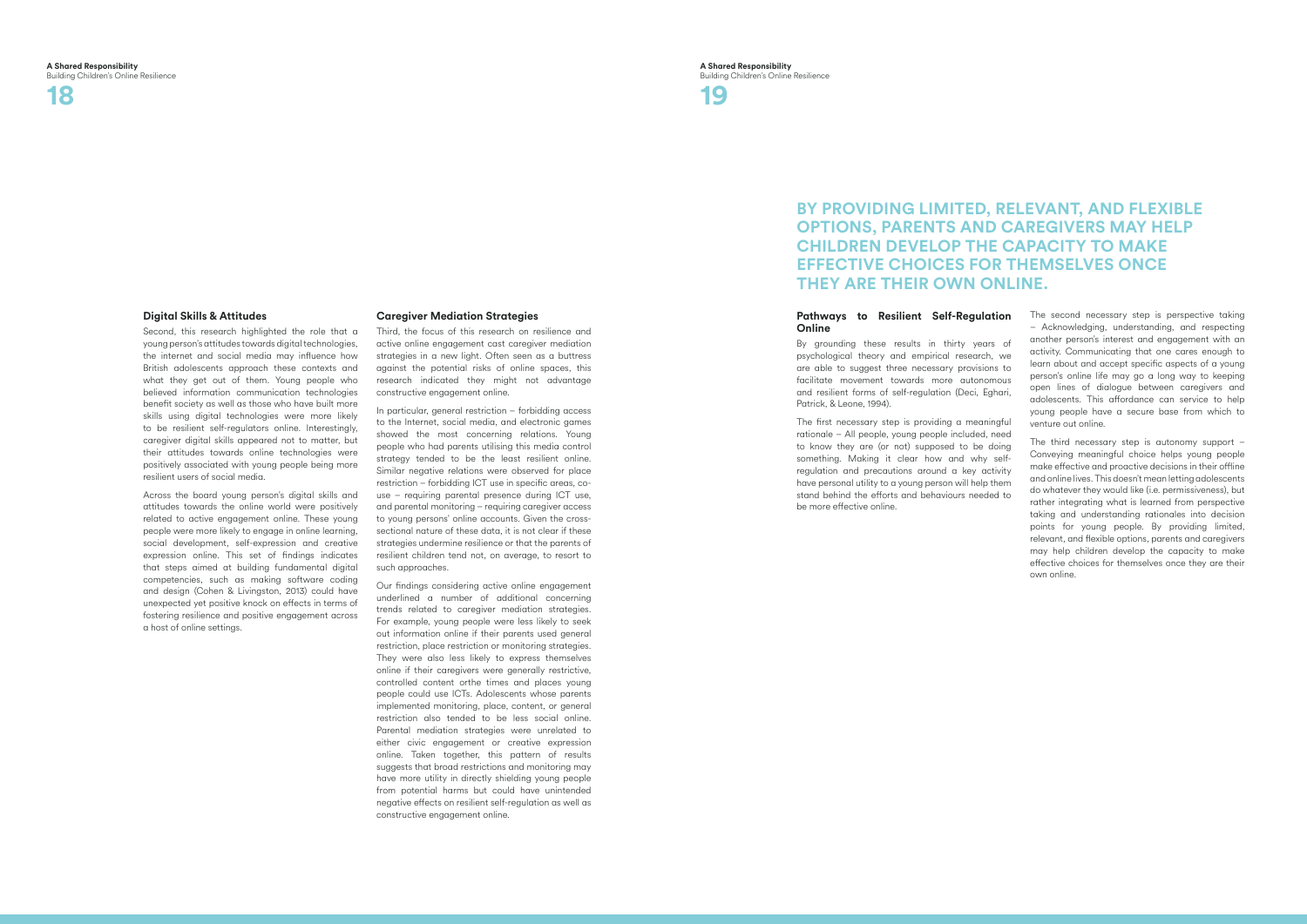# **18 19**

## **By providing limited, relevant, and flexible options, parents and caregivers may help children develop the capacity to make effective choices for themselves once they are their own online.**

## **Digital Skills & Attitudes**

Second, this research highlighted the role that a young person's attitudes towards digital technologies, the internet and social media may influence how British adolescents approach these contexts and what they get out of them. Young people who believed information communication technologies benefit society as well as those who have built more skills using digital technologies were more likely to be resilient self-regulators online. Interestingly, caregiver digital skills appeared not to matter, but their attitudes towards online technologies were positively associated with young people being more resilient users of social media.

Across the board young person's digital skills and attitudes towards the online world were positively related to active engagement online. These young people were more likely to engage in online learning, social development, self-expression and creative expression online. This set of findings indicates that steps aimed at building fundamental digital competencies, such as making software coding and design (Cohen & Livingston, 2013) could have unexpected yet positive knock on effects in terms of fostering resilience and positive engagement across a host of online settings.

## **Caregiver Mediation Strategies**

Third, the focus of this research on resilience and active online engagement cast caregiver mediation strategies in a new light. Often seen as a buttress against the potential risks of online spaces, this research indicated they might not advantage constructive engagement online.

By grounding these results in thirty years of psychological theory and empirical research, we are able to suggest three necessary provisions to facilitate movement towards more autonomous and resilient forms of self-regulation (Deci, Eghari, Patrick, & Leone, 1994).

In particular, general restriction – forbidding access to the Internet, social media, and electronic games showed the most concerning relations. Young people who had parents utilising this media control strategy tended to be the least resilient online. Similar negative relations were observed for place restriction – forbidding ICT use in specific areas, couse – requiring parental presence during ICT use, and parental monitoring – requiring caregiver access to young persons' online accounts. Given the crosssectional nature of these data, it is not clear if these strategies undermine resilience or that the parents of resilient children tend not, on average, to resort to such approaches.

Our findings considering active online engagement underlined a number of additional concerning trends related to caregiver mediation strategies. For example, young people were less likely to seek out information online if their parents used general restriction, place restriction or monitoring strategies. They were also less likely to express themselves online if their caregivers were generally restrictive, controlled content orthe times and places young people could use ICTs. Adolescents whose parents implemented monitoring, place, content, or general restriction also tended to be less social online. Parental mediation strategies were unrelated to either civic engagement or creative expression online. Taken together, this pattern of results suggests that broad restrictions and monitoring may have more utility in directly shielding young people from potential harms but could have unintended negative effects on resilient self-regulation as well as constructive engagement online.

## **Pathways to Resilient Self-Regulation Online**

The first necessary step is providing a meaningful rationale – All people, young people included, need to know they are (or not) supposed to be doing something. Making it clear how and why selfregulation and precautions around a key activity have personal utility to a young person will help them stand behind the efforts and behaviours needed to be more effective online.

The second necessary step is perspective taking – Acknowledging, understanding, and respecting another person's interest and engagement with an activity. Communicating that one cares enough to learn about and accept specific aspects of a young person's online life may go a long way to keeping open lines of dialogue between caregivers and adolescents. This affordance can service to help young people have a secure base from which to venture out online.

The third necessary step is autonomy support – Conveying meaningful choice helps young people make effective and proactive decisions in their offline and online lives. This doesn't mean letting adolescents do whatever they would like (i.e. permissiveness), but rather integrating what is learned from perspective taking and understanding rationales into decision points for young people. By providing limited, relevant, and flexible options, parents and caregivers may help children develop the capacity to make effective choices for themselves once they are their own online.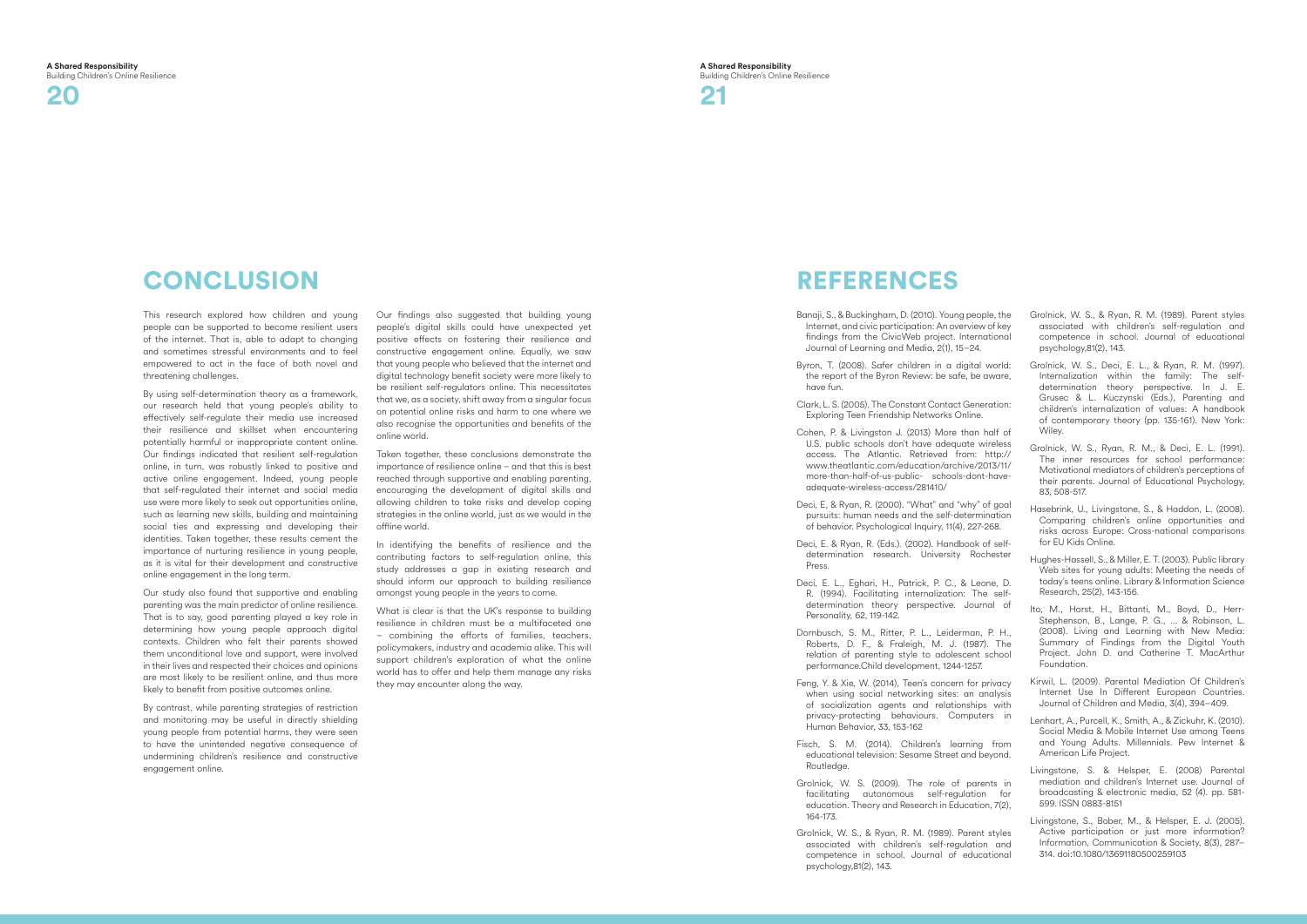

# **CONCLUSION**

This research explored how children and young people can be supported to become resilient users of the internet. That is, able to adapt to changing and sometimes stressful environments and to feel empowered to act in the face of both novel and threatening challenges.

By using self-determination theory as a framework, our research held that young people's ability to effectively self-regulate their media use increased their resilience and skillset when encountering potentially harmful or inappropriate content online. Our findings indicated that resilient self-regulation online, in turn, was robustly linked to positive and active online engagement. Indeed, young people that self-regulated their internet and social media use were more likely to seek out opportunities online, such as learning new skills, building and maintaining social ties and expressing and developing their identities. Taken together, these results cement the importance of nurturing resilience in young people, as it is vital for their development and constructive online engagement in the long term.

Our study also found that supportive and enabling parenting was the main predictor of online resilience. That is to say, good parenting played a key role in determining how young people approach digital contexts. Children who felt their parents showed them unconditional love and support, were involved in their lives and respected their choices and opinions are most likely to be resilient online, and thus more likely to benefit from positive outcomes online.

By contrast, while parenting strategies of restriction and monitoring may be useful in directly shielding young people from potential harms, they were seen to have the unintended negative consequence of undermining children's resilience and constructive engagement online.

Our findings also suggested that building young people's digital skills could have unexpected yet positive effects on fostering their resilience and constructive engagement online. Equally, we saw that young people who believed that the internet and digital technology benefit society were more likely to be resilient self-regulators online. This necessitates that we, as a society, shift away from a singular focus on potential online risks and harm to one where we also recognise the opportunities and benefits of the online world.

Taken together, these conclusions demonstrate the importance of resilience online – and that this is best reached through supportive and enabling parenting, encouraging the development of digital skills and allowing children to take risks and develop coping strategies in the online world, just as we would in the offline world.

In identifying the benefits of resilience and the contributing factors to self-regulation online, this study addresses a gap in existing research and should inform our approach to building resilience amongst young people in the years to come.

What is clear is that the UK's response to building resilience in children must be a multifaceted one – combining the efforts of families, teachers, policymakers, industry and academia alike. This will support children's exploration of what the online world has to offer and help them manage any risks they may encounter along the way.

# **REFERENCES**

- Banaji, S., & Buckingham, D. (2010). Young people, the Internet, and civic participation: An overview of key findings from the CivicWeb project. International Journal of Learning and Media, 2(1), 15–24.
- Byron, T. (2008). Safer children in a digital world: the report of the Byron Review: be safe, be aware, have fun. Clark, L. S. (2005). The Constant Contact Generation: Exploring Teen Friendship Networks Online. Cohen, P. & Livingston J. (2013) More than half of Grolnick, W. S., Deci, E. L., & Ryan, R. M. (1997). Internalization within the family: The selfdetermination theory perspective. In J. E. Grusec & L. Kuczynski (Eds.), Parenting and children's internalization of values: A handbook of contemporary theory (pp. 135-161). New York: Wiley.
- 
- U.S. public schools don't have adequate wireless access. The Atlantic. Retrieved from: http:// www.theatlantic.com/education/archive/2013/11/ more-than-half-of-us-public- schools-dont-haveadequate-wireless-access/281410/
- Deci, E, & Ryan, R. (2000). "What" and "why" of goal pursuits: human needs and the self-determination of behavior. Psychological Inquiry, 11(4), 227-268.
- Deci, E. & Ryan, R. (Eds.). (2002). Handbook of selfdetermination research. University Rochester Press.
- Deci, E. L., Eghari, H., Patrick, P. C., & Leone, D. R. (1994). Facilitating internalization: The selfdetermination theory perspective. Journal of Personality, 62, 119-142.
- Dornbusch, S. M., Ritter, P. L., Leiderman, P. H., Roberts, D. F., & Fraleigh, M. J. (1987). The relation of parenting style to adolescent school performance.Child development, 1244-1257.
- Feng, Y. & Xie, W. (2014), Teen's concern for privacy when using social networking sites: an analysis of socialization agents and relationships with privacy-protecting behaviours. Computers in Human Behavior, 33, 153-162
- Fisch, S. M. (2014). Children's learning from educational television: Sesame Street and beyond. Routledge.
- Grolnick, W. S. (2009). The role of parents in facilitating autonomous self-regulation for education. Theory and Research in Education, 7(2), 164-173.
- Grolnick, W. S., & Ryan, R. M. (1989). Parent styles associated with children's self-regulation and competence in school. Journal of educational psychology,81(2), 143.

Grolnick, W. S., & Ryan, R. M. (1989). Parent styles associated with children's self-regulation and competence in school. Journal of educational psychology,81(2), 143.

- Grolnick, W. S., Ryan, R. M., & Deci, E. L. (1991). The inner resources for school performance: Motivational mediators of children's perceptions of their parents. Journal of Educational Psychology, 83, 508-517.
- Hasebrink, U., Livingstone, S., & Haddon, L. (2008). Comparing children's online opportunities and risks across Europe: Cross-national comparisons for EU Kids Online.
- Hughes-Hassell, S., & Miller, E. T. (2003). Public library Web sites for young adults: Meeting the needs of today's teens online. Library & Information Science Research, 25(2), 143-156.
- Ito, M., Horst, H., Bittanti, M., Boyd, D., Herr-Stephenson, B., Lange, P. G., ... & Robinson, L. (2008). Living and Learning with New Media: Summary of Findings from the Digital Youth Project. John D. and Catherine T. MacArthur Foundation.
- Kirwil, L. (2009). Parental Mediation Of Children's Internet Use In Different European Countries. Journal of Children and Media, 3(4), 394–409.
- Lenhart, A., Purcell, K., Smith, A., & Zickuhr, K. (2010). Social Media & Mobile Internet Use among Teens and Young Adults. Millennials. Pew Internet & American Life Project.
- Livingstone, S. & Helsper, E. (2008) Parental mediation and children's Internet use. Journal of broadcasting & electronic media, 52 (4). pp. 581- 599. ISSN 0883-8151
- Livingstone, S., Bober, M., & Helsper, E. J. (2005). Active participation or just more information? Information, Communication & Society, 8(3), 287– 314. doi:10.1080/13691180500259103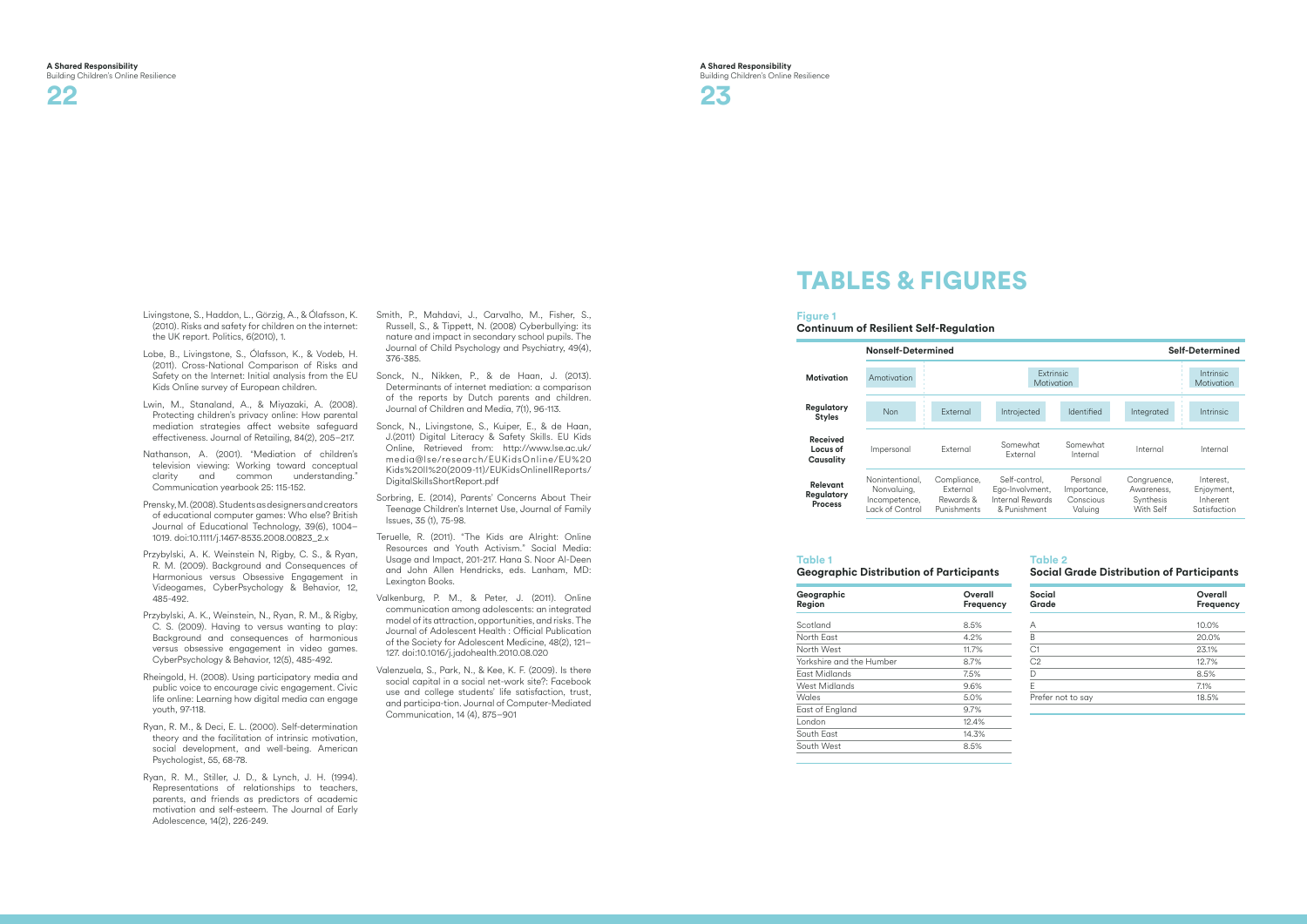

## Livingstone, S., Haddon, L., Görzig, A., & Ólafsson, K. (2010). Risks and safety for children on the internet: the UK report. Politics, 6(2010), 1.

- Lobe, B., Livingstone, S., Ólafsson, K., & Vodeb, H. (2011). Cross-National Comparison of Risks and Safety on the Internet: Initial analysis from the EU Kids Online survey of European children.
- Lwin, M., Stanaland, A., & Miyazaki, A. (2008). Protecting children's privacy online: How parental mediation strategies affect website safeguard effectiveness. Journal of Retailing, 84(2), 205–217.
- Nathanson, A. (2001). "Mediation of children's television viewing: Working toward conceptual clarity and common understanding." Communication yearbook 25: 115-152.
- Prensky, M. (2008). Students as designers and creators of educational computer games: Who else? British Journal of Educational Technology, 39(6), 1004– 1019. doi:10.1111/j.1467-8535.2008.00823\_2.x
- Przybylski, A. K. Weinstein N, Rigby, C. S., & Ryan, R. M. (2009). Background and Consequences of Harmonious versus Obsessive Engagement in Videogames, CyberPsychology & Behavior, 12, 485-492.
- Przybylski, A. K., Weinstein, N., Ryan, R. M., & Rigby, C. S. (2009). Having to versus wanting to play: Background and consequences of harmonious versus obsessive engagement in video games. CyberPsychology & Behavior, 12(5), 485-492.
- Rheingold, H. (2008). Using participatory media and public voice to encourage civic engagement. Civic life online: Learning how digital media can engage youth, 97-118.
- Ryan, R. M., & Deci, E. L. (2000). Self-determination theory and the facilitation of intrinsic motivation, social development, and well-being. American Psychologist, 55, 68-78.
- Ryan, R. M., Stiller, J. D., & Lynch, J. H. (1994). Representations of relationships to teachers, parents, and friends as predictors of academic motivation and self-esteem. The Journal of Early Adolescence, 14(2), 226-249.
- Smith, P., Mahdavi, J., Carvalho, M., Fisher, S., Russell, S., & Tippett, N. (2008) Cyberbullying: its nature and impact in secondary school pupils. The Journal of Child Psychology and Psychiatry, 49(4), 376-385.
- Sonck, N., Nikken, P., & de Haan, J. (2013). Determinants of internet mediation: a comparison of the reports by Dutch parents and children. Journal of Children and Media, 7(1), 96-113.
- Sonck, N., Livingstone, S., Kuiper, E., & de Haan, J.(2011) Digital Literacy & Safety Skills. EU Kids Online, Retrieved from: http://www.lse.ac.uk/ media@lse/research/EUKidsOnline/EU%20 Kids%20II%20(2009-11)/EUKidsOnlineIIReports/ DigitalSkillsShortReport.pdf
- Sorbring, E. (2014), Parents' Concerns About Their Teenage Children's Internet Use, Journal of Family Issues, 35 (1), 75-98.
- Teruelle, R. (2011). "The Kids are Alright: Online Resources and Youth Activism." Social Media: Usage and Impact, 201-217. Hana S. Noor Al-Deen and John Allen Hendricks, eds. Lanham, MD: Lexington Books.
- Valkenburg, P. M., & Peter, J. (2011). Online communication among adolescents: an integrated model of its attraction, opportunities, and risks. The Journal of Adolescent Health : Official Publication of the Society for Adolescent Medicine, 48(2), 121– 127. doi:10.1016/j.jadohealth.2010.08.020
- Valenzuela, S., Park, N., & Kee, K. F. (2009). Is there social capital in a social net-work site?: Facebook use and college students' life satisfaction, trust, and participa-tion. Journal of Computer-Mediated Communication, 14 (4), 875–901

# Tables & Figures

## **Figure 1**

**Continuum of Resilient Self-Regulation**

## **Table 1 Geographic Distribution of Participants**

| Geographic<br>Region     | Overall<br><b>Frequency</b> |  |
|--------------------------|-----------------------------|--|
| Scotland                 | 8.5%                        |  |
| North East               | 4.2%                        |  |
| North West               | 11.7%                       |  |
| Yorkshire and the Humber | 8.7%                        |  |
| East Midlands            | 7.5%                        |  |
| West Midlands            | 9.6%                        |  |
| Wales                    | 5.0%                        |  |
| East of England          | 9.7%                        |  |
| London                   | 12.4%                       |  |
| South East               | 14.3%                       |  |
| South West               | 8.5%                        |  |
|                          |                             |  |

**Table 2** 

## **Social Grade Distribution of Participants**

| <b>Social</b><br>Grade | Overall<br><b>Frequency</b> |
|------------------------|-----------------------------|
| А                      | 10.0%                       |
| B                      | 20.0%                       |
| C1                     | 23.1%                       |
| C <sub>2</sub>         | 12.7%                       |
| D                      | 8.5%                        |
| F                      | 7.1%                        |
| Prefer not to say      | 18.5%                       |



| <b>Self-Determined</b> |                                                                      |                                                 |                                                     |                                                     |
|------------------------|----------------------------------------------------------------------|-------------------------------------------------|-----------------------------------------------------|-----------------------------------------------------|
|                        | Extrinsic<br>Motivation                                              |                                                 |                                                     | Intrinsic<br>Motivation                             |
|                        | Introjected                                                          | Identified                                      | Integrated                                          | Intrinsic                                           |
|                        | Somewhat<br>Fxternal                                                 | Somewhat<br>Internal                            | Internal                                            | Internal                                            |
|                        | Self-control,<br>Ego-Involvment,<br>Internal Rewards<br>& Punishment | Personal<br>Importance,<br>Conscious<br>Valuing | Congruence,<br>Awareness,<br>Synthesis<br>With Self | Interest,<br>Enjoyment,<br>Inherent<br>Satisfaction |